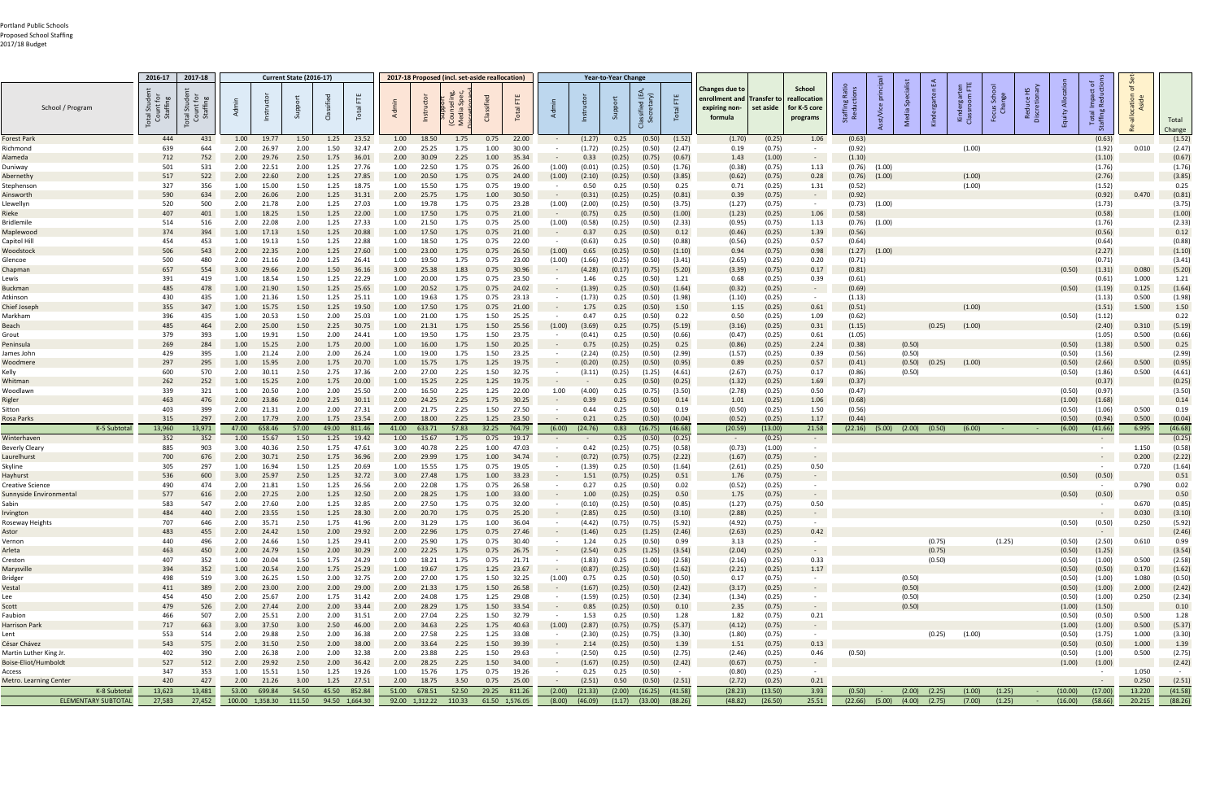| School / Program                                  | 2016-17<br>otal St.<br>Count<br>Staffir | 2017-18<br>otal Stude<br>Count for<br>Staffing |              |                       | <b>Current State (2016-17)</b> |              | Total                      |              |                       |               | 2017-18 Proposed (incl. set-aside reallocation) | Total          |            |                    | <b>Year-to-Year Change</b> | lassified (EA,<br>Secretarv) | 出<br>Total        | Changes due to<br>enrollment and <b> </b><br>expiring non-<br>formula | Transfer to<br>set aside | School<br>eallocation<br>for K-5 core<br>programs |                  |                    |                  |                   | Kinde<br>Classn  | ් පී සි          |                  | $\overline{\circ}$ . |                  |                    |
|---------------------------------------------------|-----------------------------------------|------------------------------------------------|--------------|-----------------------|--------------------------------|--------------|----------------------------|--------------|-----------------------|---------------|-------------------------------------------------|----------------|------------|--------------------|----------------------------|------------------------------|-------------------|-----------------------------------------------------------------------|--------------------------|---------------------------------------------------|------------------|--------------------|------------------|-------------------|------------------|------------------|------------------|----------------------|------------------|--------------------|
|                                                   |                                         |                                                |              |                       |                                |              |                            |              |                       |               |                                                 |                |            |                    |                            |                              |                   |                                                                       |                          |                                                   |                  |                    |                  |                   |                  |                  | 룹                |                      |                  | Total<br>Change    |
| <b>Forest Park</b>                                | 444                                     | 431                                            | 1.00         | 19.77                 | 1.50                           | 1.25         | 23.52                      | 1.00         | 18.50                 | 1.75          | 0.75                                            | 22.00          |            | (1.27)             | 0.25                       | (0.50)                       | (1.52)            | (1.70)                                                                | (0.25)                   | 1.06                                              | (0.63)           |                    |                  |                   |                  |                  |                  | (0.63)               |                  | (1.52)             |
| Richmond                                          | 639                                     | 644                                            | 2.00         | 26.97                 | 2.00                           | 1.50         | 32.47                      | 2.00         | 25.25                 | 1.75          | 1.00                                            | 30.00          |            | (1.72)             | (0.25)                     | (0.50)                       | (2.47)            | 0.19                                                                  | (0.75)                   | $\sim$                                            | (0.92)           |                    |                  |                   | (1.00)           |                  |                  | (1.92)               | 0.010            | (2.47)             |
| Alameda                                           | 712                                     | 752                                            | 2.00         | 29.76                 | 2.50                           | 1.75         | 36.01                      | 2.00         | 30.09                 | 2.25          | 1.00                                            | 35.34          |            | 0.33               | (0.25)                     | (0.75)                       | (0.67)            | 1.43                                                                  | (1.00)                   | $\sim$                                            | (1.10)           |                    |                  |                   |                  |                  |                  | (1.10)               |                  | (0.67)             |
| Duniway                                           | 501                                     | 531                                            | 2.00         | 22.51                 | 2.00                           | 1.25         | 27.76                      | 1.00         | 22.50                 | 1.75          | 0.75                                            | 26.00          | (1.00)     | (0.01)             | (0.25)                     | (0.50)                       | (1.76)            | (0.38)                                                                | (0.75)                   | 1.13                                              | (0.76)           | (1.00)             |                  |                   |                  |                  |                  | (1.76)               |                  | (1.76)             |
| Abernethy                                         | 517<br>327                              | 522<br>356                                     | 2.00<br>1.00 | 22.60<br>15.00        | 2.00<br>1.50                   | 1.25<br>1.25 | 27.85<br>18.75             | 1.00<br>1.00 | 20.50<br>15.50        | 1.75<br>1.75  | 0.75<br>0.75                                    | 24.00<br>19.00 | (1.00)     | (2.10)<br>0.50     | (0.25)<br>0.25             | (0.50)<br>(0.50)             | (3.85)<br>0.25    | (0.62)<br>0.71                                                        | (0.75)<br>(0.25)         | 0.28<br>1.31                                      | (0.76)<br>(0.52) | (1.00)             |                  |                   | (1.00)<br>(1.00) |                  |                  | (2.76)<br>(1.52)     |                  | (3.85)<br>0.25     |
| Stephensor<br>Ainsworth                           | 590                                     | 634                                            | 2.00         | 26.06                 | 2.00                           | 1.25         | 31.31                      | 2.00         | 25.75                 | 1.75          | 1.00                                            | 30.50          |            | (0.31)             | (0.25)                     | (0.25)                       | (0.81)            | 0.39                                                                  | (0.75)                   | $\sim$ $-$                                        | (0.92)           |                    |                  |                   |                  |                  |                  | (0.92)               | 0.470            | (0.81)             |
| Llewellyn                                         | 520                                     | 500                                            | 2.00         | 21.78                 | 2.00                           | 1.25         | 27.03                      | 1.00         | 19.78                 | 1.75          | 0.75                                            | 23.28          | (1.00)     | (2.00)             | (0.25)                     | (0.50)                       | (3.75)            | (1.27)                                                                | (0.75)                   | $\sim$ $-$                                        | (0.73)           | (1.00)             |                  |                   |                  |                  |                  | (1.73)               |                  | (3.75)             |
| Rieke                                             | 407                                     | 401                                            | 1.00         | 18.25                 | 1.50                           | 1.25         | 22.00                      | 1.00         | 17.50                 | 1.75          | 0.75                                            | 21.00          |            | (0.75)             | 0.25                       | (0.50)                       | (1.00)            | (1.23)                                                                | (0.25)                   | 1.06                                              | (0.58)           |                    |                  |                   |                  |                  |                  | (0.58)               |                  | (1.00)             |
| Bridlemile                                        | 514                                     | 516                                            | 2.00         | 22.08                 | 2.00                           | 1.25         | 27.33                      | 1.00         | 21.50                 | 1.75          | 0.75                                            | 25.00          | (1.00)     | (0.58)             | (0.25)                     | (0.50)                       | (2.33)            | (0.95)                                                                | (0.75)                   | 1.13                                              | (0.76)           | (1.00)             |                  |                   |                  |                  |                  | (1.76)               |                  | (2.33)             |
| Maplewood                                         | 374                                     | 394                                            | 1.00         | 17.13                 | 1.50                           | 1.25         | 20.88                      | 1.00         | 17.50                 | 1.75          | 0.75                                            | 21.00          |            | 0.37               | 0.25                       | (0.50)                       | 0.12              | (0.46)                                                                | (0.25)                   | 1.39                                              | (0.56)           |                    |                  |                   |                  |                  |                  | (0.56)               |                  | 0.12               |
| Capitol Hill                                      | 454                                     | 453                                            | 1.00         | 19.13                 | 1.50                           | 1.25         | 22.88                      | 1.00         | 18.50                 | 1.75          | 0.75                                            | 22.00          |            | (0.63)             | 0.25                       | (0.50)                       | (0.88)            | (0.56)                                                                | (0.25)                   | 0.57                                              | (0.64)           |                    |                  |                   |                  |                  |                  | (0.64)               |                  | (0.88)             |
| Woodstock                                         | 506                                     | 543                                            | 2.00         | 22.35                 | 2.00                           | 1.25         | 27.60                      | 1.00         | 23.00                 | 1.75          | 0.75                                            | 26.50          | (1.00)     | 0.65               | (0.25)                     | (0.50)                       | (1.10)            | 0.94                                                                  | (0.75)                   | 0.98                                              | (1.27)           | (1.00)             |                  |                   |                  |                  |                  | (2.27)               |                  | (1.10)             |
| Glencoe                                           | 500<br>657                              | 480<br>554                                     | 2.00<br>3.00 | 21.16<br>29.66        | 2.00<br>2.00                   | 1.25<br>1.50 | 26.41<br>36.16             | 1.00<br>3.00 | 19.50<br>25.38        | 1.75<br>1.83  | 0.75<br>0.75                                    | 23.00<br>30.96 | (1.00)     | (1.66)<br>(4.28)   | (0.25)<br>(0.17)           | (0.50)<br>(0.75)             | (3.41)<br>(5.20)  | (2.65)                                                                | (0.25)<br>(0.75)         | 0.20<br>0.17                                      | (0.71)<br>(0.81) |                    |                  |                   |                  |                  |                  | (0.71)<br>(1.31)     |                  | (3.41)<br>(5.20)   |
| Chapman<br>Lewis                                  | 391                                     | 419                                            | 1.00         | 18.54                 | 1.50                           | 1.25         | 22.29                      | 1.00         | 20.00                 | 1.75          | 0.75                                            | 23.50          |            | 1.46               | 0.25                       | (0.50)                       | 1.21              | (3.39)<br>0.68                                                        | (0.25)                   | 0.39                                              | (0.61)           |                    |                  |                   |                  |                  | (0.50)           | (0.61)               | 0.080<br>1.000   | 1.21               |
| <b>Buckman</b>                                    | 485                                     | 478                                            | 1.00         | 21.90                 | 1.50                           | 1.25         | 25.65                      | 1.00         | 20.52                 | 1.75          | 0.75                                            | 24.02          |            | (1.39)             | 0.25                       | (0.50)                       | (1.64)            | (0.32)                                                                | (0.25)                   | $\sim$ $-$                                        | (0.69)           |                    |                  |                   |                  |                  | (0.50)           | (1.19)               | 0.125            | (1.64)             |
| Atkinson                                          | 430                                     | 435                                            | 1.00         | 21.36                 | 1.50                           | 1.25         | 25.11                      | 1.00         | 19.63                 | 1.75          | 0.75                                            | 23.13          |            | (1.73)             | 0.25                       | (0.50)                       | (1.98)            | (1.10)                                                                | (0.25)                   | $\sim$ $-$                                        | (1.13)           |                    |                  |                   |                  |                  |                  | (1.13)               | 0.500            | (1.98)             |
| Chief Joseph                                      | 355                                     | 347                                            | 1.00         | 15.75                 | 1.50                           | 1.25         | 19.50                      | 1.00         | 17.50                 | 1.75          | 0.75                                            | 21.00          |            | 1.75               | 0.25                       | (0.50)                       | 1.50              | 1.15                                                                  | (0.25)                   | 0.61                                              | (0.51)           |                    |                  |                   | (1.00)           |                  |                  | (1.51)               | 1.500            | 1.50               |
| Markham                                           | 396                                     | 435                                            | 1.00         | 20.53                 | 1.50                           | 2.00         | 25.03                      | 1.00         | 21.00                 | 1.75          | 1.50                                            | 25.25          |            | 0.47               | 0.25                       | (0.50)                       | 0.22              | 0.50                                                                  | (0.25)                   | 1.09                                              | (0.62)           |                    |                  |                   |                  |                  | (0.50)           | (1.12)               |                  | 0.22               |
| Beach                                             | 485                                     | 464                                            | 2.00         | 25.00                 | 1.50                           | 2.25         | 30.75                      | 1.00         | 21.31                 | 1.75          | 1.50                                            | 25.56          | (1.00)     | (3.69)             | 0.25                       | (0.75)                       | (5.19)            | (3.16)                                                                | (0.25)                   | 0.31                                              | (1.15)           |                    |                  | (0.25)            | (1.00)           |                  |                  | (2.40)               | 0.310            | (5.19)             |
| Grout                                             | 379                                     | 393                                            | 1.00         | 19.91                 | 1.50                           | 2.00         | 24.41                      | 1.00         | 19.50                 | 1.75          | 1.50                                            | 23.75          |            | (0.41)             | 0.25                       | (0.50)                       | (0.66)            | (0.47)                                                                | (0.25)                   | 0.61                                              | (1.05)           |                    |                  |                   |                  |                  |                  | (1.05)               | 0.500            | (0.66)             |
| Peninsula                                         | 269                                     | 284                                            | 1.00         | 15.25                 | 2.00                           | 1.75         | 20.00                      | 1.00         | 16.00                 | 1.75          | 1.50                                            | 20.25          |            | 0.75               | (0.25)                     | (0.25)                       | 0.25              | (0.86)                                                                | (0.25)                   | 2.24                                              | (0.38)           |                    | (0.50)           |                   |                  |                  | (0.50)           | (1.38)               | 0.500            | 0.25               |
| James John                                        | 429                                     | 395                                            | 1.00         | 21.24                 | 2.00                           | 2.00         | 26.24                      | 1.00         | 19.00                 | 1.75          | 1.50                                            | 23.25          |            | (2.24)             | (0.25)                     | (0.50)                       | (2.99)            | (1.57)                                                                | (0.25)                   | 0.39                                              | (0.56)           |                    | (0.50)           |                   |                  |                  | (0.50)           | (1.56)               |                  | (2.99)             |
| Woodmere                                          | 297                                     | 295                                            | 1.00         | 15.95                 | 2.00                           | 1.75         | 20.70                      | 1.00         | 15.75                 | 1.75          | 1.25                                            | 19.75          |            | (0.20)             | (0.25)                     | (0.50)                       | (0.95)            | 0.89                                                                  | (0.25)                   | 0.57                                              | (0.41)           |                    | (0.50)           | (0.25)            | (1.00)           |                  | (0.50)           | (2.66)               | 0.500            | (0.95)             |
| Kelly<br>Whitman                                  | 600<br>262                              | 570<br>252                                     | 2.00<br>1.00 | 30.11<br>15.25        | 2.50<br>2.00                   | 2.75<br>1.75 | 37.36<br>20.00             | 2.00<br>1.00 | 27.00<br>15.25        | 2.25<br>2.25  | 1.50<br>1.25                                    | 32.75<br>19.75 |            | (3.11)             | (0.25)<br>0.25             | (1.25)<br>(0.50)             | (4.61)<br>(0.25)  | (2.67)<br>(1.32)                                                      | (0.75)<br>(0.25)         | 0.17<br>1.69                                      | (0.86)<br>(0.37) |                    | (0.50)           |                   |                  |                  | (0.50)           | (1.86)<br>(0.37)     | 0.500            | (4.61)<br>(0.25)   |
| Woodlawr                                          | 339                                     | 321                                            | 1.00         | 20.50                 | 2.00                           | 2.00         | 25.50                      | 2.00         | 16.50                 | 2.25          | 1.25                                            | 22.00          | 1.00       | (4.00)             | 0.25                       | (0.75)                       | (3.50)            | (2.78)                                                                | (0.25)                   | 0.50                                              | (0.47)           |                    |                  |                   |                  |                  | (0.50)           | (0.97)               |                  | (3.50)             |
| Rigler                                            | 463                                     | 476                                            | 2.00         | 23.86                 | 2.00                           | 2.25         | 30.11                      | 2.00         | 24.25                 | 2.25          | 1.75                                            | 30.25          |            | 0.39               | 0.25                       | (0.50)                       | 0.14              | 1.01                                                                  | (0.25)                   | 1.06                                              | (0.68)           |                    |                  |                   |                  |                  | (1.00)           | (1.68)               |                  | 0.14               |
| Sitton                                            | 403                                     | 399                                            | 2.00         | 21.31                 | 2.00                           | 2.00         | 27.31                      | 2.00         | 21.75                 | 2.25          | 1.50                                            | 27.50          |            | 0.44               | 0.25                       | (0.50)                       | 0.19              | (0.50)                                                                | (0.25)                   | 1.50                                              | (0.56)           |                    |                  |                   |                  |                  | (0.50)           | (1.06)               | 0.500            | 0.19               |
| Rosa Parks                                        | 315                                     | 297                                            | 2.00         | 17.79                 | 2.00                           | 1.75         | 23.54                      | 2.00         | 18.00                 | 2.25          | 1.25                                            | 23.50          | $\sim 100$ | 0.21               | 0.25                       | (0.50)                       | (0.04)            | (0.52)                                                                | (0.25)                   | 1.17                                              | (0.44)           |                    |                  |                   |                  |                  | (0.50)           | (0.94)               | 0.500            | (0.04)             |
| K-5 Subtotal                                      | 13,960                                  | 13,971                                         | 47.00        | 658.46                | 57.00                          | 49.00        | 811.46                     | 41.00 633.71 |                       | 57.83         | 32.25                                           | 764.79         | (6.00)     | (24.76)            | 0.83                       | (16.75)                      | (46.68)           | (20.59)                                                               | (13.00)                  | 21.58                                             |                  | $(22.16)$ $(5.00)$ | (2.00)           | (0.50)            | (6.00)           |                  | (6.00)           | (41.66)              | 6.995            | (46.68)            |
| Winterhaven                                       | 352                                     | 352                                            | 1.00         | 15.67                 | 1.50                           | 1.25         | 19.42                      | 1.00         | 15.67                 | 1.75          | 0.75                                            | 19.17          |            |                    | 0.25                       | (0.50)                       | (0.25)            | $\sim$                                                                | (0.25)                   | $\sim$                                            |                  |                    |                  |                   |                  |                  |                  |                      |                  | (0.25)             |
| Beverly Cleary                                    | 885                                     | 903                                            | 3.00         | 40.36                 | 2.50                           | 1.75         | 47.61                      | 3.00         | 40.78                 | 2.25          | 1.00                                            | 47.03          |            | 0.42               | (0.25)                     | (0.75)                       | (0.58)            | (0.73)                                                                | (1.00)                   | $\sim$                                            |                  |                    |                  |                   |                  |                  |                  | $\sim$ $-$           | 1.150            | (0.58)             |
| Laurelhurst                                       | 700                                     | 676                                            | 2.00         | 30.71                 | 2.50                           | 1.75         | 36.96                      | 2.00         | 29.99                 | 1.75          | 1.00                                            | 34.74          |            | (0.72)             | (0.75)                     | (0.75)                       | (2.22)            | (1.67)                                                                | (0.75)                   | $\sim$                                            |                  |                    |                  |                   |                  |                  |                  | $\sim$ $ \sim$       | 0.200            | (2.22)             |
| Skyline                                           | 305                                     | 297                                            | 1.00         | 16.94                 | 1.50                           | 1.25         | 20.69                      | 1.00         | 15.55                 | 1.75          | 0.75                                            | 19.05          |            | (1.39)             | 0.25                       | (0.50)                       | (1.64)            | (2.61)                                                                | (0.25)                   | 0.50                                              |                  |                    |                  |                   |                  |                  |                  | $\sim$ $-$           | 0.720            | (1.64)             |
| Hayhurst                                          | 536<br>490                              | 600<br>474                                     | 3.00<br>2.00 | 25.97<br>21.81        | 2.50<br>1.50                   | 1.25<br>1.25 | 32.72<br>26.56             | 3.00<br>2.00 | 27.48<br>22.08        | 1.75<br>1.75  | 1.00<br>0.75                                    | 33.23<br>26.58 |            | 1.51<br>0.27       | (0.75)                     | (0.25)                       | 0.51              | 1.76                                                                  | (0.75)<br>(0.25)         | $\sim$<br>$\sim$                                  |                  |                    |                  |                   |                  |                  | (0.50)           | (0.50)<br>$\sim$     | 0.790            | 0.51<br>0.02       |
| <b>Creative Science</b><br>Sunnyside Environmenta | 577                                     | 616                                            | 2.00         | 27.25                 | 2.00                           | 1.25         | 32.50                      | 2.00         | 28.25                 | 1.75          | 1.00                                            | 33.00          |            | 1.00               | 0.25<br>(0.25)             | (0.50)<br>(0.25)             | 0.02<br>0.50      | (0.52)<br>1.75                                                        | (0.75)                   | <b>College</b>                                    |                  |                    |                  |                   |                  |                  | (0.50)           | (0.50)               |                  | 0.50               |
| Sabin                                             | 583                                     | 547                                            | 2.00         | 27.60                 | 2.00                           | 1.25         | 32.85                      | 2.00         | 27.50                 | 1.75          | 0.75                                            | 32.00          |            | (0.10)             | (0.25)                     | (0.50)                       | (0.85)            | (1.27)                                                                | (0.75)                   | 0.50                                              |                  |                    |                  |                   |                  |                  |                  |                      | 0.670            | (0.85)             |
| Irvington                                         | 484                                     | 440                                            | 2.00         | 23.55                 | 1.50                           | 1.25         | 28.30                      | 2.00         | 20.70                 | 1.75          | 0.75                                            | 25.20          |            | (2.85)             | 0.25                       | (0.50)                       | (3.10)            | (2.88)                                                                | (0.25)                   |                                                   |                  |                    |                  |                   |                  |                  |                  |                      | 0.030            | (3.10)             |
| Roseway Heights                                   | 707                                     | 646                                            | 2.00         | 35.71                 | 2.50                           | 1.75         | 41.96                      | 2.00         | 31.29                 | 1.75          | 1.00                                            | 36.04          |            | (4.42)             | (0.75)                     | (0.75)                       | (5.92)            | (4.92)                                                                | (0.75)                   | $\sim$                                            |                  |                    |                  |                   |                  |                  | (0.50)           | (0.50)               | 0.250            | (5.92)             |
| Astor                                             | 483                                     | 455                                            | 2.00         | 24.42                 | 1.50                           | 2.00         | 29.92                      | 2.00         | 22.96                 | 1.75          | 0.75                                            | 27.46          |            | (1.46)             | 0.25                       | (1.25)                       | (2.46)            | (2.63)                                                                | (0.25)                   | 0.42                                              |                  |                    |                  |                   |                  |                  |                  | $\sim$               |                  | (2.46)             |
| Vernon                                            | 440                                     | 496                                            | 2.00         | 24.66                 | 1.50                           | 1.25         | 29.41                      | 2.00         | 25.90                 | 1.75          | 0.75                                            | 30.40          |            | 1.24               | 0.25                       | (0.50)                       | 0.99              | 3.13                                                                  | (0.25)                   | $\sim$                                            |                  |                    |                  | (0.75)            |                  | (1.25)           | (0.50)           | (2.50)               | 0.610            | 0.99               |
| Arleta                                            | 463                                     | 450                                            | 2.00         | 24.79                 | 1.50                           | 2.00         | 30.29                      | 2.00         | 22.25                 | 1.75          | 0.75                                            | 26.75          |            | (2.54)             | 0.25                       | (1.25)                       | (3.54)            | (2.04)                                                                | (0.25)                   | $\sim$                                            |                  |                    |                  | (0.75)            |                  |                  | (0.50)           | (1.25)               |                  | (3.54)             |
| Creston                                           | 407                                     | 352                                            | 1.00         | 20.04                 | 1.50                           | 1.75         | 24.29                      | 1.00         | 18.21                 | 1.75          | 0.75                                            | 21.71          |            | (1.83)             | 0.25                       | (1.00)                       | (2.58)            | (2.16)                                                                | (0.25)                   | 0.33                                              |                  |                    |                  | (0.50)            |                  |                  | (0.50)           | (1.00)               | 0.500            | (2.58)             |
| Marysville                                        | 394                                     | 352                                            | 1.00         | 20.54                 | 2.00                           | 1.75         | 25.29                      | 1.00         | 19.67                 | 1.75          | 1.25                                            | 23.67          |            | (0.87)             | (0.25)                     | (0.50)                       | (1.62)            | (2.21)                                                                | (0.25)                   | 1.17                                              |                  |                    |                  |                   |                  |                  | (0.50)           | (0.50)               | 0.170            | (1.62)             |
| Bridger<br>Vestal                                 | 498<br>411                              | 519<br>389                                     | 3.00<br>2.00 | 26.25<br>23.00        | 1.50<br>2.00                   | 2.00<br>2.00 | 32.75<br>29.00             | 2.00<br>2.00 | 27.00<br>21.33        | 1.75<br>1.75  | 1.50<br>1.50                                    | 32.25<br>26.58 | (1.00)     | 0.75<br>(1.67)     | 0.25<br>(0.25)             | (0.50)<br>(0.50)             | (0.50)<br>(2.42)  | 0.17<br>(3.17)                                                        | (0.75)<br>(0.25)         | $\sim$<br>$\sim$ $-$                              |                  |                    | (0.50)<br>(0.50) |                   |                  |                  | (0.50)<br>(0.50) | (1.00)<br>(1.00)     | 1.080<br>2.000   | (0.50)<br>(2.42)   |
| Lee                                               | 454                                     | 450                                            | 2.00         | 25.67                 | 2.00                           | 1.75         | 31.42                      | 2.00         | 24.08                 | 1.75          | 1.25                                            | 29.08          | $\sim$ $-$ | (1.59)             | (0.25)                     | (0.50)                       | (2.34)            | (1.34)                                                                | (0.25)                   | $\sim$                                            |                  |                    | (0.50)           |                   |                  |                  | (0.50)           | (1.00)               | 0.250            | (2.34)             |
| Scott                                             | 479                                     | 526                                            | 2.00         | 27.44                 | 2.00                           | 2.00         | 33.44                      | 2.00         | 28.29                 | 1.75          | 1.50                                            | 33.54          |            | 0.85               | (0.25)                     | (0.50)                       | 0.10              | 2.35                                                                  | (0.75)                   | <b>Contract</b>                                   |                  |                    | (0.50)           |                   |                  |                  | (1.00)           | (1.50)               |                  | 0.10               |
| Faubion                                           | 466                                     | 507                                            | 2.00         | 25.51                 | 2.00                           | 2.00         | 31.51                      | 2.00         | 27.04                 | 2.25          | 1.50                                            | 32.79          | $\sim$ $-$ | 1.53               | 0.25                       | (0.50)                       | 1.28              | 1.82                                                                  | (0.75)                   | 0.21                                              |                  |                    |                  |                   |                  |                  | (0.50)           | (0.50)               | 0.500            | 1.28               |
| <b>Harrison Park</b>                              | 717                                     | 663                                            | 3.00         | 37.50                 | 3.00                           | 2.50         | 46.00                      | 2.00         | 34.63                 | 2.25          | 1.75                                            | 40.63          | (1.00)     | (2.87)             | (0.75)                     | (0.75)                       | (5.37)            | (4.12)                                                                | (0.75)                   | $\sim 10^{-1}$                                    |                  |                    |                  |                   |                  |                  | (1.00)           | (1.00)               | 0.500            | (5.37)             |
| Lent                                              | 553                                     | 514                                            | 2.00         | 29.88                 | 2.50                           | 2.00         | 36.38                      | 2.00         | 27.58                 | 2.25          | 1.25                                            | 33.08          |            | (2.30)             | (0.25)                     | (0.75)                       | (3.30)            | (1.80)                                                                | (0.75)                   | $\sim$ $-$                                        |                  |                    |                  | (0.25)            | (1.00)           |                  | (0.50)           | (1.75)               | 1.000            | (3.30)             |
| César Chávez                                      | 543                                     | 575                                            | 2.00         | 31.50                 | 2.50                           | 2.00         | 38.00                      | 2.00         | 33.64                 | 2.25          | 1.50                                            | 39.39          | $\sim$ $-$ | 2.14               | (0.25)                     | (0.50)                       | 1.39              | 1.51                                                                  | (0.75)                   | 0.13                                              |                  |                    |                  |                   |                  |                  | (0.50)           | (0.50)               | 1.000            | 1.39               |
| Martin Luther King Jr.                            | 402                                     | 390                                            | 2.00         | 26.38                 | 2.00                           | 2.00         | 32.38                      | 2.00         | 23.88                 | 2.25          | 1.50                                            | 29.63          | $\sim$     | (2.50)             | 0.25                       | (0.50)                       | (2.75)            | (2.46)                                                                | (0.25)                   | 0.46                                              | (0.50)           |                    |                  |                   |                  |                  | (0.50)           | (1.00)               | 0.500            | (2.75)             |
| Boise-Eliot/Humboldt                              | 527                                     | 512                                            | 2.00         | 29.92                 | 2.50                           | 2.00         | 36.42                      | 2.00         | 28.25                 | 2.25          | 1.50                                            | 34.00          |            | (1.67)             | (0.25)                     | (0.50)                       | (2.42)            | (0.67)                                                                | (0.75)                   | $\sim$                                            |                  |                    |                  |                   |                  |                  | (1.00)           | (1.00)               |                  | (2.42)             |
| Access                                            | 347                                     | 353                                            | 1.00         | 15.51                 | 1.50                           | 1.25         | 19.26                      | 1.00         | 15.76                 | 1.75          | 0.75                                            | 19.26          |            | 0.25               | 0.25                       | (0.50)                       | $\sim$            | (0.80)                                                                | (0.25)                   | $\sim$                                            |                  |                    |                  |                   |                  |                  |                  |                      | 1.050            |                    |
| Metro. Learning Center<br>K-8 Subtotal            | 420<br>13,623                           | 427                                            | 2.00         | 21.26<br>53.00 699.84 | 3.00<br>54.50                  |              | 1.25 27.51<br>45.50 852.84 | 2.00         | 18.75<br>51.00 678.51 | 3.50<br>52.50 | 0.75                                            | 25.00          | (2.00)     | (2.51)<br>(21.33)  | 0.50<br>(2.00)             | (0.50)<br>(16.25)            | (2.51)<br>(41.58) | (2.72)<br>(28.23)                                                     | (0.25)                   | 0.21                                              | (0.50)           |                    |                  | $(2.00)$ $(2.25)$ |                  |                  | (10.00)          | $\sim$<br>(17.00)    | 0.250            | (2.51)             |
| <b>ELEMENTARY SUBTOTAL</b>                        | 27,583                                  | 13,481<br>27,452                               |              | 100.00 1,358.30       | 111.50                         |              | 94.50 1,664.30             |              | 92.00 1,312.22 110.33 |               | 29.25 811.26<br>61.50 1,576.05                  |                |            | $(8.00)$ $(46.09)$ | (1.17)                     | (33.00)                      | (88.26)           | (48.82)                                                               | (13.50)<br>(26.50)       | 3.93<br>25.51                                     |                  | $(22.66)$ $(5.00)$ | (4.00)           | (2.75)            | (1.00)<br>(7.00) | (1.25)<br>(1.25) | (16.00)          | (58.66)              | 13.220<br>20.215 | (41.58)<br>(88.26) |
|                                                   |                                         |                                                |              |                       |                                |              |                            |              |                       |               |                                                 |                |            |                    |                            |                              |                   |                                                                       |                          |                                                   |                  |                    |                  |                   |                  |                  |                  |                      |                  |                    |